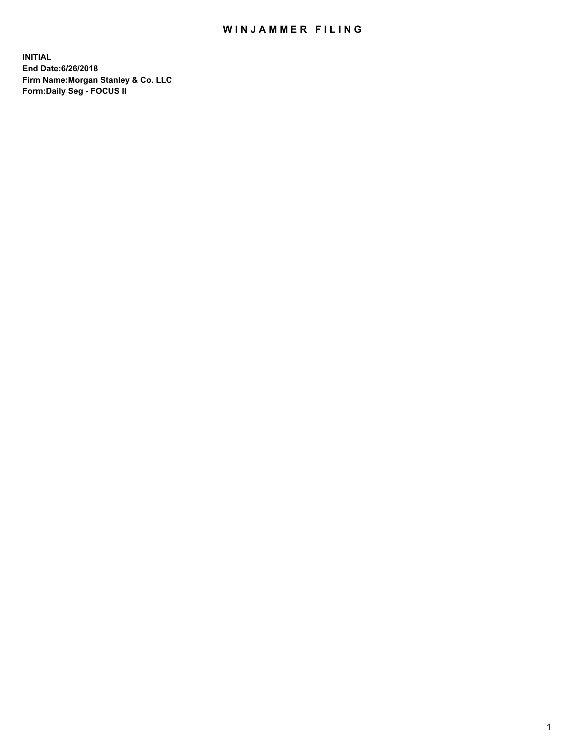## WIN JAMMER FILING

**INITIAL End Date:6/26/2018 Firm Name:Morgan Stanley & Co. LLC Form:Daily Seg - FOCUS II**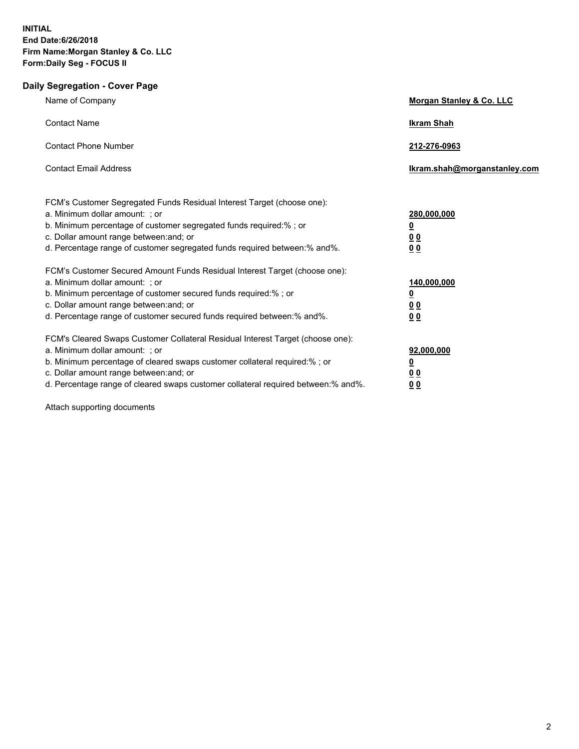## **Daily Segregation - Cover Page**

| Name of Company                                                                                                                                                                                                                                                                                                                  | Morgan Stanley & Co. LLC                                              |
|----------------------------------------------------------------------------------------------------------------------------------------------------------------------------------------------------------------------------------------------------------------------------------------------------------------------------------|-----------------------------------------------------------------------|
| <b>Contact Name</b>                                                                                                                                                                                                                                                                                                              | <b>Ikram Shah</b>                                                     |
| <b>Contact Phone Number</b>                                                                                                                                                                                                                                                                                                      | 212-276-0963                                                          |
| <b>Contact Email Address</b>                                                                                                                                                                                                                                                                                                     | Ikram.shah@morganstanley.com                                          |
| FCM's Customer Segregated Funds Residual Interest Target (choose one):<br>a. Minimum dollar amount: ; or<br>b. Minimum percentage of customer segregated funds required:%; or<br>c. Dollar amount range between: and; or<br>d. Percentage range of customer segregated funds required between:% and%.                            | 280,000,000<br>$\overline{\mathbf{0}}$<br><u>00</u><br>0 <sub>0</sub> |
| FCM's Customer Secured Amount Funds Residual Interest Target (choose one):<br>a. Minimum dollar amount: ; or<br>b. Minimum percentage of customer secured funds required:%; or<br>c. Dollar amount range between: and; or<br>d. Percentage range of customer secured funds required between:% and%.                              | 140,000,000<br>$\overline{\mathbf{0}}$<br><u>00</u><br>0 <sub>0</sub> |
| FCM's Cleared Swaps Customer Collateral Residual Interest Target (choose one):<br>a. Minimum dollar amount: ; or<br>b. Minimum percentage of cleared swaps customer collateral required:% ; or<br>c. Dollar amount range between: and; or<br>d. Percentage range of cleared swaps customer collateral required between: % and %. | 92,000,000<br><u>0</u><br>0 <sub>0</sub><br>0 <sub>0</sub>            |

Attach supporting documents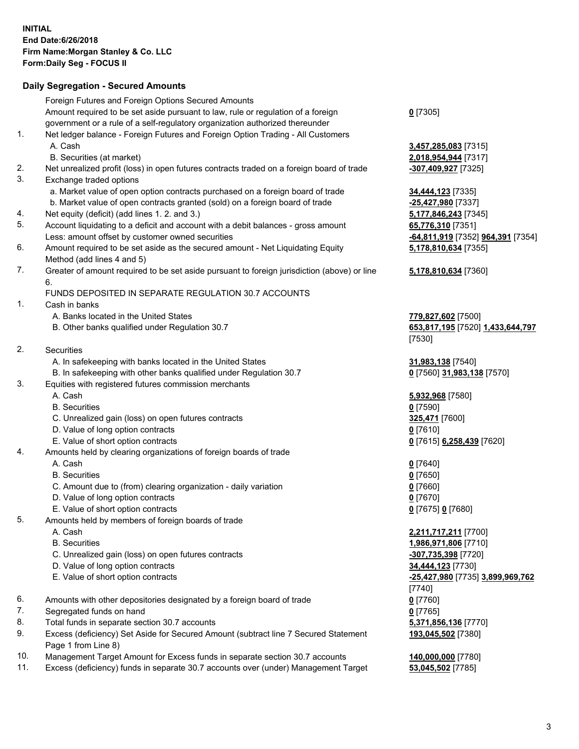## **Daily Segregation - Secured Amounts**

|     | Foreign Futures and Foreign Options Secured Amounts                                                        |                                                       |
|-----|------------------------------------------------------------------------------------------------------------|-------------------------------------------------------|
|     | Amount required to be set aside pursuant to law, rule or regulation of a foreign                           | $0$ [7305]                                            |
|     | government or a rule of a self-regulatory organization authorized thereunder                               |                                                       |
| 1.  | Net ledger balance - Foreign Futures and Foreign Option Trading - All Customers                            |                                                       |
|     | A. Cash                                                                                                    | 3,457,285,083 [7315]                                  |
|     | B. Securities (at market)                                                                                  | 2,018,954,944 [7317]                                  |
| 2.  | Net unrealized profit (loss) in open futures contracts traded on a foreign board of trade                  | -307,409,927 [7325]                                   |
| 3.  | Exchange traded options                                                                                    |                                                       |
|     | a. Market value of open option contracts purchased on a foreign board of trade                             | 34,444,123 [7335]                                     |
|     | b. Market value of open contracts granted (sold) on a foreign board of trade                               | -25,427,980 [7337]                                    |
| 4.  | Net equity (deficit) (add lines 1.2. and 3.)                                                               | 5,177,846,243 [7345]                                  |
| 5.  | Account liquidating to a deficit and account with a debit balances - gross amount                          | 65,776,310 [7351]                                     |
|     | Less: amount offset by customer owned securities                                                           | <mark>-64,811,919</mark> [7352] <b>964,391</b> [7354] |
| 6.  | Amount required to be set aside as the secured amount - Net Liquidating Equity                             | 5,178,810,634 [7355]                                  |
|     | Method (add lines 4 and 5)                                                                                 |                                                       |
| 7.  | Greater of amount required to be set aside pursuant to foreign jurisdiction (above) or line<br>6.          | 5,178,810,634 [7360]                                  |
|     | FUNDS DEPOSITED IN SEPARATE REGULATION 30.7 ACCOUNTS                                                       |                                                       |
| 1.  | Cash in banks                                                                                              |                                                       |
|     | A. Banks located in the United States                                                                      | 779,827,602 [7500]                                    |
|     | B. Other banks qualified under Regulation 30.7                                                             | 653,817,195 [7520] 1,433,644,797                      |
|     |                                                                                                            | [7530]                                                |
| 2.  | Securities                                                                                                 |                                                       |
|     | A. In safekeeping with banks located in the United States                                                  | 31,983,138 [7540]                                     |
|     | B. In safekeeping with other banks qualified under Regulation 30.7                                         | 0 [7560] 31,983,138 [7570]                            |
| 3.  | Equities with registered futures commission merchants                                                      |                                                       |
|     | A. Cash                                                                                                    | 5,932,968 [7580]                                      |
|     | <b>B.</b> Securities                                                                                       | $0$ [7590]                                            |
|     | C. Unrealized gain (loss) on open futures contracts                                                        | 325,471 [7600]                                        |
|     | D. Value of long option contracts                                                                          | $0$ [7610]                                            |
|     | E. Value of short option contracts                                                                         | 0 [7615] 6,258,439 [7620]                             |
| 4.  | Amounts held by clearing organizations of foreign boards of trade                                          |                                                       |
|     | A. Cash                                                                                                    | $0$ [7640]                                            |
|     | <b>B.</b> Securities                                                                                       | $0$ [7650]                                            |
|     | C. Amount due to (from) clearing organization - daily variation                                            | $0$ [7660]                                            |
|     | D. Value of long option contracts                                                                          | $0$ [7670]                                            |
|     | E. Value of short option contracts                                                                         | 0 [7675] 0 [7680]                                     |
| 5.  | Amounts held by members of foreign boards of trade                                                         |                                                       |
|     | A. Cash                                                                                                    | 2,211,717,211 [7700]                                  |
|     | <b>B.</b> Securities                                                                                       | 1,986,971,806 [7710]                                  |
|     | C. Unrealized gain (loss) on open futures contracts                                                        | -307,735,398 [7720]                                   |
|     | D. Value of long option contracts                                                                          | 34,444,123 [7730]                                     |
|     | E. Value of short option contracts                                                                         | -25,427,980 [7735] 3,899,969,762                      |
|     |                                                                                                            | [7740]                                                |
| 6.  | Amounts with other depositories designated by a foreign board of trade                                     | $0$ [7760]                                            |
| 7.  | Segregated funds on hand                                                                                   | 0 [7765]                                              |
| 8.  | Total funds in separate section 30.7 accounts                                                              | 5,371,856,136 [7770]                                  |
| 9.  | Excess (deficiency) Set Aside for Secured Amount (subtract line 7 Secured Statement<br>Page 1 from Line 8) | 193,045,502 [7380]                                    |
| 10. | Management Target Amount for Excess funds in separate section 30.7 accounts                                | 140,000,000 [7780]                                    |
| 11. | Excess (deficiency) funds in separate 30.7 accounts over (under) Management Target                         | 53,045,502 [7785]                                     |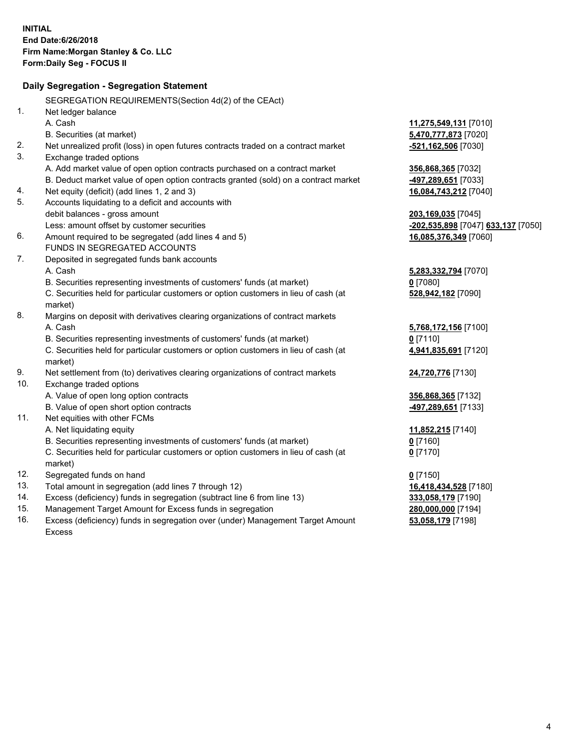|     | Daily Segregation - Segregation Statement                                           |                                    |
|-----|-------------------------------------------------------------------------------------|------------------------------------|
|     | SEGREGATION REQUIREMENTS(Section 4d(2) of the CEAct)                                |                                    |
| 1.  | Net ledger balance                                                                  |                                    |
|     | A. Cash                                                                             | 11,275,549,131 [7010]              |
|     | B. Securities (at market)                                                           | 5,470,777,873 [7020]               |
| 2.  | Net unrealized profit (loss) in open futures contracts traded on a contract market  | -521,162,506 [7030]                |
| 3.  | Exchange traded options                                                             |                                    |
|     | A. Add market value of open option contracts purchased on a contract market         | 356,868,365 [7032]                 |
|     | B. Deduct market value of open option contracts granted (sold) on a contract market | 497,289,651 [7033]                 |
| 4.  | Net equity (deficit) (add lines 1, 2 and 3)                                         | 16,084,743,212 [7040]              |
| 5.  | Accounts liquidating to a deficit and accounts with                                 |                                    |
|     | debit balances - gross amount                                                       | 203,169,035 [7045]                 |
|     | Less: amount offset by customer securities                                          | -202,535,898 [7047] 633,137 [7050] |
| 6.  | Amount required to be segregated (add lines 4 and 5)                                | 16,085,376,349 [7060]              |
|     | FUNDS IN SEGREGATED ACCOUNTS                                                        |                                    |
| 7.  | Deposited in segregated funds bank accounts                                         |                                    |
|     | A. Cash                                                                             | 5,283,332,794 [7070]               |
|     | B. Securities representing investments of customers' funds (at market)              | $0$ [7080]                         |
|     | C. Securities held for particular customers or option customers in lieu of cash (at | 528,942,182 [7090]                 |
|     | market)                                                                             |                                    |
| 8.  | Margins on deposit with derivatives clearing organizations of contract markets      |                                    |
|     | A. Cash                                                                             | 5,768,172,156 [7100]               |
|     | B. Securities representing investments of customers' funds (at market)              | $0$ [7110]                         |
|     | C. Securities held for particular customers or option customers in lieu of cash (at | 4,941,835,691 [7120]               |
|     | market)                                                                             |                                    |
| 9.  | Net settlement from (to) derivatives clearing organizations of contract markets     | 24,720,776 [7130]                  |
| 10. | Exchange traded options                                                             |                                    |
|     | A. Value of open long option contracts                                              | 356,868,365 [7132]                 |
|     | B. Value of open short option contracts                                             | 497,289,651 [7133]                 |
| 11. | Net equities with other FCMs                                                        |                                    |
|     | A. Net liquidating equity                                                           | 11,852,215 [7140]                  |
|     | B. Securities representing investments of customers' funds (at market)              | $0$ [7160]                         |
|     | C. Securities held for particular customers or option customers in lieu of cash (at | $0$ [7170]                         |
|     | market)                                                                             |                                    |
| 12. | Segregated funds on hand                                                            | <u>0</u> [7150]                    |
| 13. | Total amount in segregation (add lines 7 through 12)                                | 16,418,434,528 [7180]              |
| 14. | Excess (deficiency) funds in segregation (subtract line 6 from line 13)             | 333,058,179 [7190]                 |
| 15. | Management Target Amount for Excess funds in segregation                            | 280,000,000 [7194]                 |
| 16. | Excess (deficiency) funds in segregation over (under) Management Target Amount      | 53,058,179 [7198]                  |
|     | Excess                                                                              |                                    |